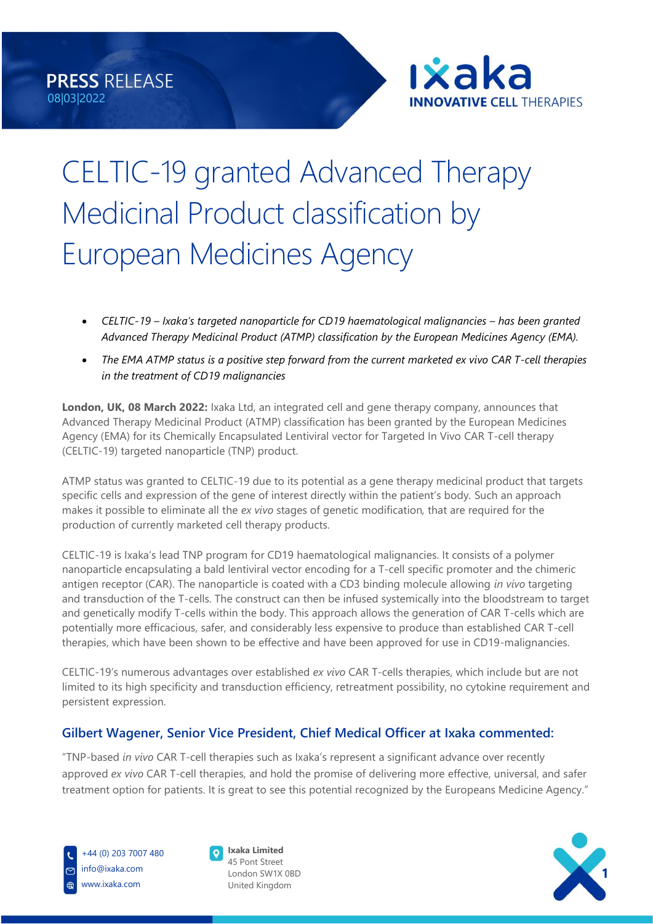

# CELTIC-19 granted Advanced Therapy Medicinal Product classification by European Medicines Agency

- *CELTIC-19 – Ixaka's targeted nanoparticle for CD19 haematological malignancies – has been granted Advanced Therapy Medicinal Product (ATMP) classification by the European Medicines Agency (EMA).*
- *The EMA ATMP status is a positive step forward from the current marketed ex vivo CAR T-cell therapies in the treatment of CD19 malignancies*

**London, UK, 08 March 2022:** Ixaka Ltd, an integrated cell and gene therapy company, announces that Advanced Therapy Medicinal Product (ATMP) classification has been granted by the European Medicines Agency (EMA) for its Chemically Encapsulated Lentiviral vector for Targeted In Vivo CAR T-cell therapy (CELTIC-19) targeted nanoparticle (TNP) product.

ATMP status was granted to CELTIC-19 due to its potential as a gene therapy medicinal product that targets specific cells and expression of the gene of interest directly within the patient's body. Such an approach makes it possible to eliminate all the *ex vivo* stages of genetic modification*,* that are required for the production of currently marketed cell therapy products.

CELTIC-19 is Ixaka's lead TNP program for CD19 haematological malignancies. It consists of a polymer nanoparticle encapsulating a bald lentiviral vector encoding for a T-cell specific promoter and the chimeric antigen receptor (CAR). The nanoparticle is coated with a CD3 binding molecule allowing *in vivo* targeting and transduction of the T-cells. The construct can then be infused systemically into the bloodstream to target and genetically modify T-cells within the body. This approach allows the generation of CAR T-cells which are potentially more efficacious, safer, and considerably less expensive to produce than established CAR T-cell therapies, which have been shown to be effective and have been approved for use in CD19-malignancies.

CELTIC-19's numerous advantages over established *ex vivo* CAR T-cells therapies, which include but are not limited to its high specificity and transduction efficiency, retreatment possibility, no cytokine requirement and persistent expression.

## **Gilbert Wagener, Senior Vice President, Chief Medical Officer at Ixaka commented:**

"TNP-based *in vivo* CAR T-cell therapies such as Ixaka's represent a significant advance over recently approved *ex vivo* CAR T-cell therapies, and hold the promise of delivering more effective, universal, and safer treatment option for patients. It is great to see this potential recognized by the Europeans Medicine Agency."



+44 (0) 203 7007 480 info@ixaka.com www.ixaka.com



45 Pont Street London SW1X 0BD United Kingdom